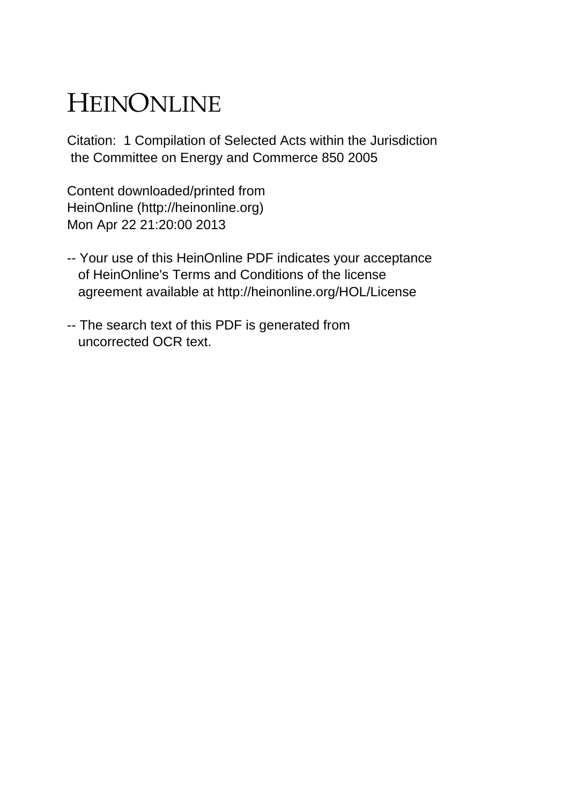# HEINONLINE

Citation: 1 Compilation of Selected Acts within the Jurisdiction the Committee on Energy and Commerce 850 2005

Content downloaded/printed from HeinOnline (http://heinonline.org) Mon Apr 22 21:20:00 2013

- -- Your use of this HeinOnline PDF indicates your acceptance of HeinOnline's Terms and Conditions of the license agreement available at http://heinonline.org/HOL/License
- -- The search text of this PDF is generated from uncorrected OCR text.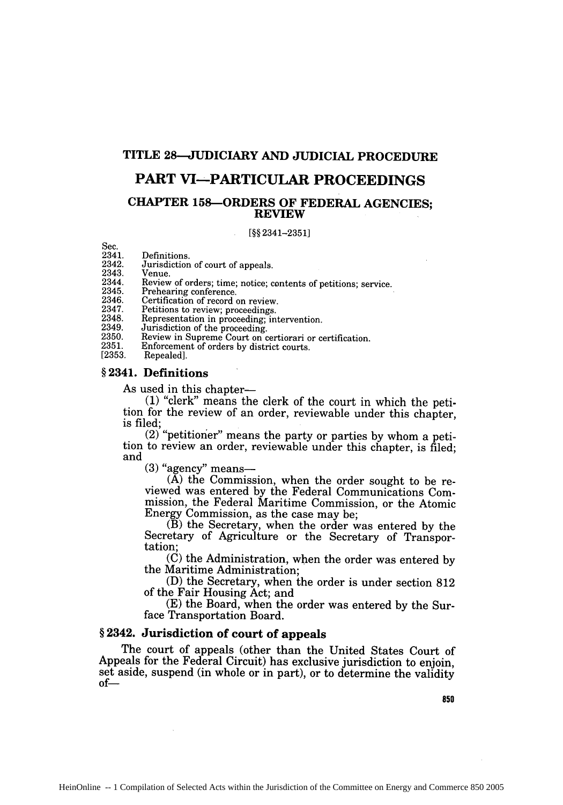# **PART VI-PARTICULAR PROCEEDINGS**

#### **CHAPTER 158-ORDERS OF FEDERAL AGENCIES; REVIEW**

#### [§§ 2341-2351]

Sec.<br>2341.

- 2341. Definitions.<br>2342. Jurisdiction
- 2342. Jurisdiction of court of appeals.<br>2343. Venue.
- 2343. Venue.<br>2344. Review
- 2344. Review of orders; time; notice; contents of petitions; service.<br>2345. Prehearing conference.
- 2345. Prehearing conference.<br>2346. Certification of record
- 2346. Certification of record on review.<br>2347. Petitions to review: proceedings.
- 
- 2347. Petitions to review; proceedings.<br>2348. Representation in proceeding; intervention.<br>2349. Jurisdiction of the proceeding.
- 
- 2350. Review in Supreme Court on certiorari or certification.<br>2351. Enforcement of orders by district courts.
- 2351. Enforcement of orders by district courts.<br>[2353. Repealed].
- Repealed].

## **§ 2341. Definitions**

As used in this chapter—<br> $(1)$  "clerk" means the clerk of the court in which the petition for the review of an order, reviewable under this chapter, is filed:

 $(2)$  "petitioner" means the party or parties by whom a petition to review an order, reviewable under this chapter, is filed; and

 $(3)$  "agency" means-

 $(\overline{A})$  the Commission, when the order sought to be reviewed was entered by the Federal Communications Commission, the Federal Maritime Commission, or the Atomic Energy Commission, as the case may be;

(B) the Secretary, when the order was entered by the Secretary of Agriculture or the Secretary of Transportation;

(C) the Administration, when the order was entered by the Maritime Administration;

(D) the Secretary, when the order is under section 812 of the Fair Housing Act; and

(E) the Board, when the order was entered by the Surface Transportation Board.

## **§ 2342. Jurisdiction of court of appeals**

The court of appeals (other than the United States Court of Appeals for the Federal Circuit) has exclusive jurisdiction to enjoin, set aside, suspend (in whole or in part), or to determine the validity **of-**

850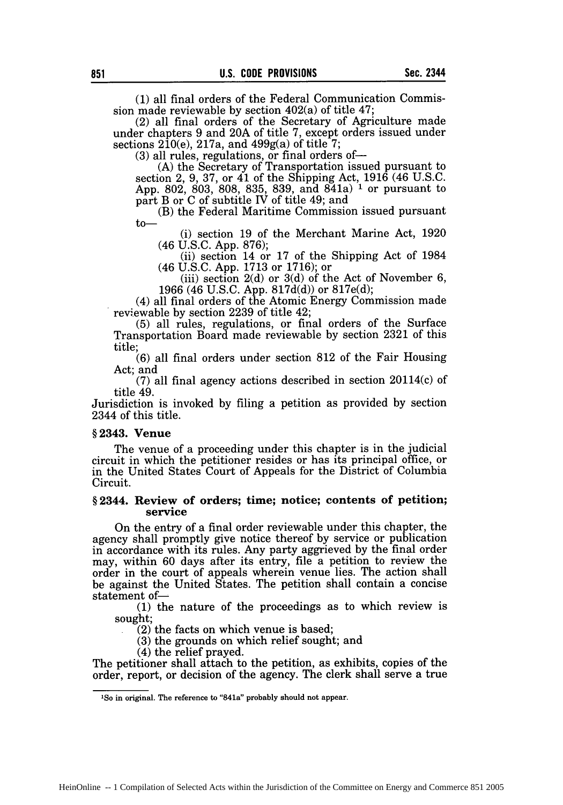(1) all final orders of the Federal Communication Commission made reviewable by section 402(a) of title 47;

(2) all final orders of the Secretary of Agriculture made under chapters 9 and 20A of title 7, except orders issued under sections  $210(e)$ ,  $217a$ , and  $499g(a)$  of title 7;

(3) all rules, regulations, or final orders of-

(A) the Secretary of Transportation issued pursuant to section 2, 9, 37, or 41 of the Shipping Act, 1916 (46 U.S.C. App. 802, 803, 808, 835, 839, and 841a) **I** or pursuant to part B or C of subtitle IV of title 49; and

(B) the Federal Maritime Commission issued pursuant to-

(i) section 19 of the Merchant Marine Act, 1920 (46 U.S.C. App. 876);

(ii) section 14 or 17 of the Shipping Act of 1984 (46 U.S.C. App. 1713 or 1716); or

(iii) section 2(d) or 3(d) of the Act of November 6, 1966 (46 U.S.C. App. 817d(d)) or 817e(d);

(4) all final orders of the Atomic Energy Commission made reviewable by section 2239 of title 42;

(5) all rules, regulations, or final orders of the Surface Transportation Board made reviewable by section 2321 of this title;

(6) all final orders under section 812 of the Fair Housing Act; and

(7) all final agency actions described in section 20114(c) of title 49.

Jurisdiction is invoked by filing a petition as provided by section 2344 of this title.

## **§** 2343. Venue

The venue of a proceeding under this chapter is in the judicial circuit in which the petitioner resides or has its principal office, or in the United States Court of Appeals for the District of Columbia Circuit.

## **§ 2344. Review of orders; time; notice;** contents of petition; service

On the entry of a final order reviewable under this chapter, the agency shall promptly give notice thereof by service or publication in accordance with its rules. Any party aggrieved by the final order may, within 60 days after its entry, file a petition to review the order in the court of appeals wherein venue lies. The action shall be against the United States. The petition shall contain a concise statement of-

**(1)** the nature of the proceedings as to which review is sought;

(2) the facts on which venue is based;

(3) the grounds on which relief sought; and

(4) the relief prayed.

The petitioner shall attach to the petition, as exhibits, copies of the order, report, or decision of the agency. The clerk shall serve a true

**<sup>&#</sup>x27;So** in original. The reference to "841a" probably should not appear.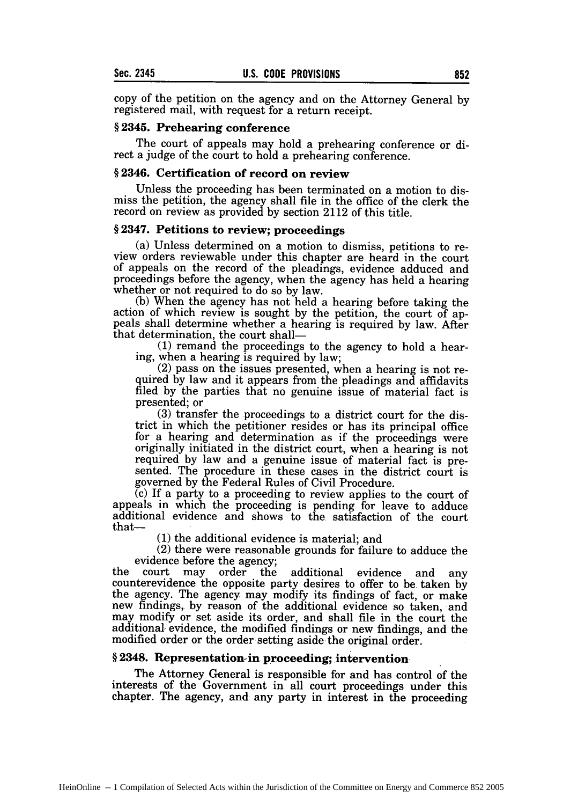copy of the petition on the agency and on the Attorney General by registered mail, with request for a return receipt.

## **§ 2345. Prehearing conference**

The court of appeals may hold a prehearing conference or direct a judge of the court to hold a prehearing conference.

## **§** 2346. Certification of record on review

Unless the proceeding has been terminated on a motion to dismiss the petition, the agency shall file in the office of the clerk the record on review as provided by section 2112 of this title.

## **§** 2347. Petitions to review; proceedings

(a) Unless determined on a motion to dismiss, petitions to review orders reviewable under this chapter are heard in the court of appeals on the record of the pleadings, evidence adduced and proceedings before the agency, when the agency has held a hearing whether or not required to do so by law.

(b) When the agency has not held a hearing before taking the action of which review is sought by the petition, the court of appeals shall determine whether a hearing is required by law. After that determination, the court shall-

**(1)** remand the proceedings to the agency to hold a hearing, when a hearing is required by law;

(2) pass on the issues presented, when a hearing is not required by law and it appears from the pleadings and affidavits filed by the parties that no genuine issue of material fact is presented; or

(3) transfer the proceedings to a district court for the district in which the petitioner resides or has its principal office for a hearing and determination as if the proceedings were originally initiated in the district court, when a hearing is not required by law and a genuine issue of material fact is presented. The procedure in these cases in the district court is governed by the Federal Rules of Civil Procedure.

(c) If a party to a proceeding to review applies to the court of appeals in which the proceeding is pending for leave to adduce additional evidence and shows to the satisfaction of the court that-

**(1)** the additional evidence is material; and

(2) there were reasonable grounds for failure to adduce the

the court may order the additional evidence and any counterevidence the opposite party desires to offer to be taken by the agency. The agency may modify its findings of fact, or make new findings, by reason of the additional evidence so taken, and may modify or set aside its order, and shall file in the court the additional evidence, the modified findings or new findings, and the modified order or the order setting aside the original order.

## **§** 2348. **Representation in proceeding; intervention**

The Attorney General is responsible for and has control of the interests of the Government in all court proceedings under this chapter. The agency, and any party in interest in the proceeding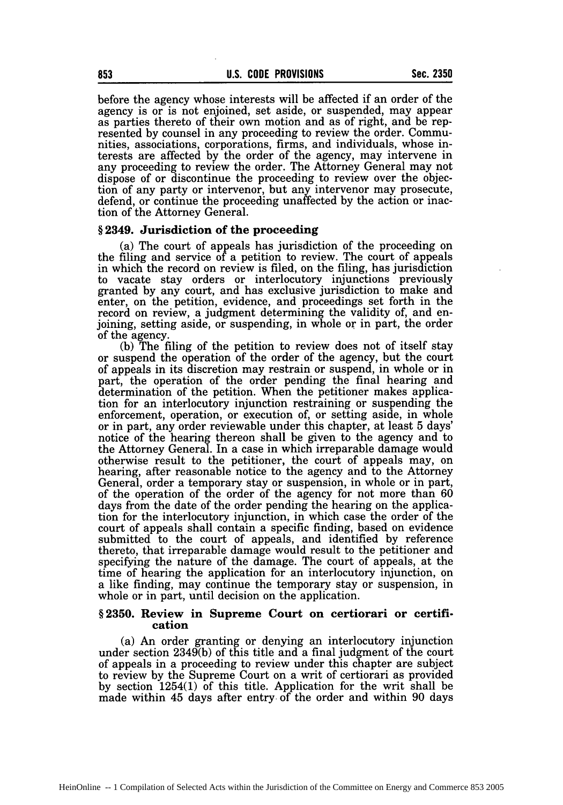before the agency whose interests will be affected if an order of the agency is or is not enjoined, set aside, or suspended, may appear as parties thereto of their own motion and as of right, and be represented by counsel in any proceeding to review the order. Communities, associations, corporations, firms, and individuals, whose interests are affected by the order of the agency, may intervene in any proceeding to review the order. The Attorney General may not dispose of or discontinue the proceeding to review over the objection of any party or intervenor, but any intervenor may prosecute, defend, or continue the proceeding unaffected by the action or inaction of the Attorney General.

#### **§ 2349. Jurisdiction of the proceeding**

**(a)** The court of appeals has jurisdiction of the proceeding on the filing and service of **a petition to review. The court of appeals** in which the record on review is filed, on the filing, has jurisdiction to vacate stay orders or interlocutory injunctions previously granted **by** any court, and has exclusive jurisdiction to make and enter, on the petition, evidence, and proceedings set forth in the record on review, a judgment determining the validity of, and enjoining, setting aside, or suspending, in whole or in part, the order

of the agency. **(b)** The filing of the petition to review does not of itself stay or suspend the operation of the order of the agency, but the court of appeals in its discretion may restrain or suspend, in whole or in part, the operation of the order pending the final hearing and determination of the petition. When the petitioner makes application for an interlocutory injunction restraining or suspending the enforcement, operation, or execution of, or setting aside, in whole or in part, any order reviewable under this chapter, at least 5 days' notice of the hearing thereon shall be given to the agency and to the Attorney General. In a case in which irreparable damage would otherwise result to the petitioner, the court of appeals may, on hearing, after reasonable notice to the agency and to the Attorney General, order a temporary stay or suspension, in whole or in part, of the operation of the order of the agency for not more than **60** days from the date of the order pending the hearing on the application for the interlocutory injunction, in which case the order of the court of appeals shall contain a specific finding, based on evidence submitted to the court of appeals, and identified **by** reference thereto, that irreparable damage would result to the petitioner and specifying the nature of the damage. The court of appeals, at the time of hearing the application for an interlocutory injunction, on a like finding, may continue the temporary stay or suspension, in whole or in part, until decision on the application.

#### **§ 2350. Review in Supreme Court on certiorari or certification**

(a) An order granting or denying an interlocutory injunction under section 2349(b) of this title and a final judgment of the court of appeals in a proceeding to review under this chapter are subject to review by the Supreme Court on a writ of certiorari as provided by section 1254(1) of this title. Application for the writ shall be made within 45 days after entry of the order and within 90 days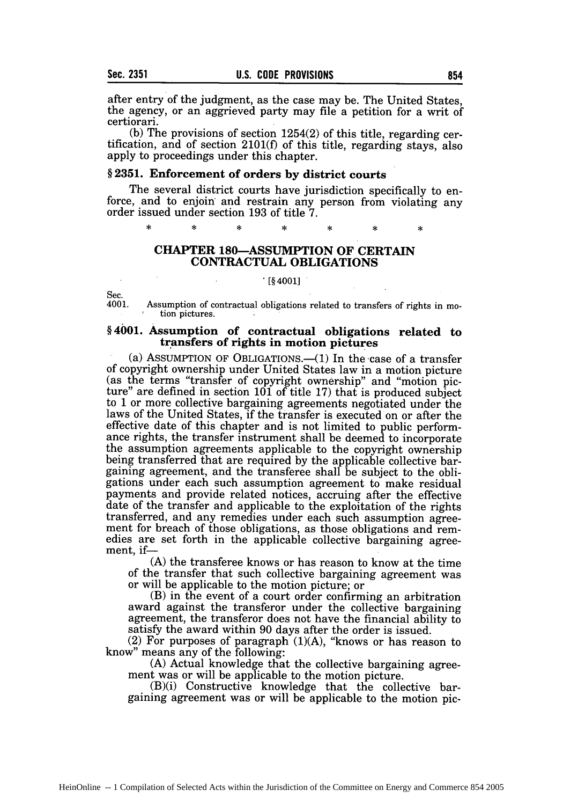after entry of the judgment, as the case may be. The United States, the agency, or an aggrieved party may file a petition for a writ of certiorari.

(b) The provisions of section 1254(2) of this title, regarding certification, and of section 2101(f) of this title, regarding stays, also apply to proceedings under this chapter.

## **§ 2351.** Enforcement of orders **by** district courts

The several district courts have jurisdiction specifically to enforce, and to enjoin and restrain any person from violating any order issued under section 193 of title 7.

## **CHAPTER 180-ASSUMPTION OF CERTAIN CONTRACTUAL OBLIGATIONS**

#### $\cdot$  [§ 4001]  $\cdot$

Sec.<br>4001

Assumption of contractual obligations related to transfers of rights in motion pictures.

### **§ 4001.** Assumption of contractual obligations related to transfers of rights in motion pictures

(a) ASSUMPTION OF OBLIGATIONS.— $(1)$  In the case of a transfer of copyright ownership under United States law in a motion picture (as the terms "transfer of copyright ownership" and "motion picture" are defined in section 101 of title 17) that is produced subject to 1 or more collective bargaining agreements negotiated under the laws of the United States, if the transfer is executed on or after the effective date of this chapter and is not limited to public performance rights, the transfer instrument shall be deemed to incorporate the assumption agreements applicable to the copyright ownership being transferred that are required by the applicable collective bargaining agreement, and the transferee shall be subject to the obligations under each such assumption agreement to make residual payments and provide related notices, accruing after the effective transferred, and any remedies under each such assumption agreement for breach of those obligations, as those obligations and remedies are set forth in the applicable collective bargaining agreement, if-

(A) the transferee knows or has reason to know at the time of the transfer that such collective bargaining agreement was or will be applicable to the motion picture; or

(B) in the event of a court order confirming an arbitration award against the transferor under the collective bargaining agreement, the transferor does not have the financial ability to satisfy the award within 90 days after the order is issued.

(2) For purposes of paragraph  $(1)(A)$ , "knows or has reason to know" means any of the following:

(A) Actual knowledge that the collective bargaining agree-<br>ment was or will be applicable to the motion picture.

(B)(i) Constructive knowledge that the collective bargaining agreement was or will be applicable to the motion pic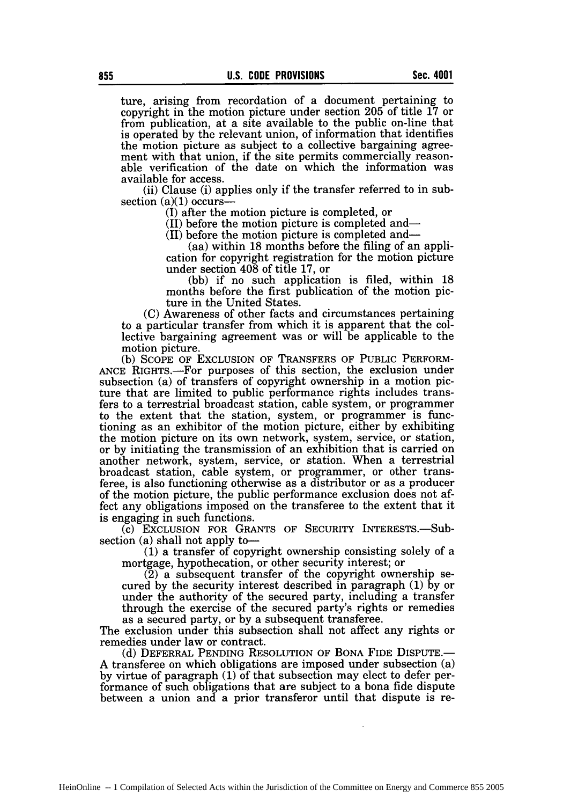ture, arising from recordation of a document pertaining to copyright in the motion picture under section 205 of title 17 or from publication, at a site available to the public on-line that is operated by the relevant union, of information that identifies the motion picture as subject to a collective bargaining agreement with that union, if the site permits commercially reasonable verification of the date on which the information was available for access.

(ii) Clause (i) applies only if the transfer referred to in subsection (a)(1) occurs-

(I) after the motion picture is completed, or

(II) before the motion picture is completed and-

(II) before the motion picture is completed and-

(aa) within 18 months before the filing of an application for copyright registration for the motion picture under section 408 of title 17, or

(bb) if no such application is filed, within 18 months before the first publication of the motion picture in the United States.

(C) Awareness of other facts and circumstances pertaining to a particular transfer from which it is apparent that the collective bargaining agreement was or will be applicable to the motion picture.

(b) SCOPE OF EXCLUSION OF TRANSFERS OF PUBLIC PERFORM-ANCE RIGHTS.-For purposes of this section, the exclusion under subsection (a) of transfers of copyright ownership in a motion picture that are limited to public performance rights includes transfers to a terrestrial broadcast station, cable system, or programmer to the extent that the station, system, or programmer is functioning as an exhibitor of the motion picture, either by exhibiting the motion picture on its own network, system, service, or station, or by initiating the transmission of an exhibition that is carried on another network, system, service, or station. When a terrestrial broadcast station, cable system, or programmer, or other transferee, is also functioning otherwise as a distributor or as a producer of the motion picture, the public performance exclusion does not affect any obligations imposed on the transferee to the extent that it is engaging in such functions.

(c) EXCLUSION FOR GRANTS OF SECURITY INTERESTS.-Subsection (a) shall not apply to-

**(1)** a transfer of copyright ownership consisting solely of a mortgage, hypothecation, or other security interest; or

 $(2)$  a subsequent transfer of the copyright ownership secured by the security interest described in paragraph (1) by or under the authority of the secured party, including a transfer through the exercise of the secured party's rights or remedies as a secured party, or by a subsequent transferee.

The exclusion under this subsection shall not affect any rights or remedies under law or contract.

(d) DEFERRAL PENDING RESOLUTION OF BONA FIDE DISPUTE.- A transferee on which obligations are imposed under subsection (a) by virtue of paragraph (1) of that subsection may elect to defer performance of such obligations that are subject to a bona fide dispute between a union and a prior transferor until that dispute is re